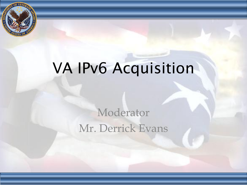

## VA IPv6 Acquisition

## Moderator Mr. Derrick Evans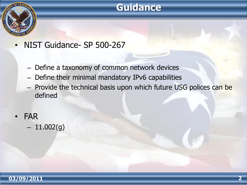## **Guidance**



- NIST Guidance- SP 500-267
	- Define a taxonomy of common network devices
	- Define their minimal mandatory IPv6 capabilities
	- Provide the technical basis upon which future USG polices can be defined
	- FAR
		- $-11.002(g)$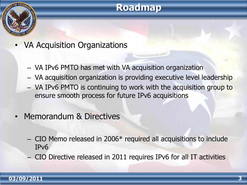### **Roadmap**



- VA Acquisition Organizations
	- VA IPv6 PMTO has met with VA acquisition organization
	- VA acquisition organization is providing executive level leadership
	- VA IPv6 PMTO is continuing to work with the acquisition group to ensure smooth process for future IPv6 acquisitions
- Memorandum & Directives
	- CIO Memo released in 2006\* required all acquisitions to include IPv6
	- CIO Directive released in 2011 requires IPv6 for all IT activities

#### **03/09/2011 3**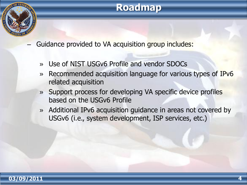## **Roadmap**



- Guidance provided to VA acquisition group includes:
	- » Use of NIST USGv6 Profile and vendor SDOCs
	- » Recommended acquisition language for various types of IPv6 related acquisition
	- » Support process for developing VA specific device profiles based on the USGv6 Profile
	- » Additional IPv6 acquisition guidance in areas not covered by USGv6 (i.e., system development, ISP services, etc.)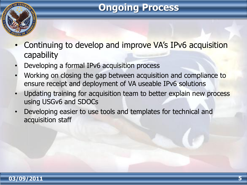## **Ongoing Process**



- Continuing to develop and improve VA's IPv6 acquisition capability
- Developing a formal IPv6 acquisition process
- Working on closing the gap between acquisition and compliance to ensure receipt and deployment of VA useable IPv6 solutions
- Updating training for acquisition team to better explain new process using USGv6 and SDOCs
- Developing easier to use tools and templates for technical and acquisition staff